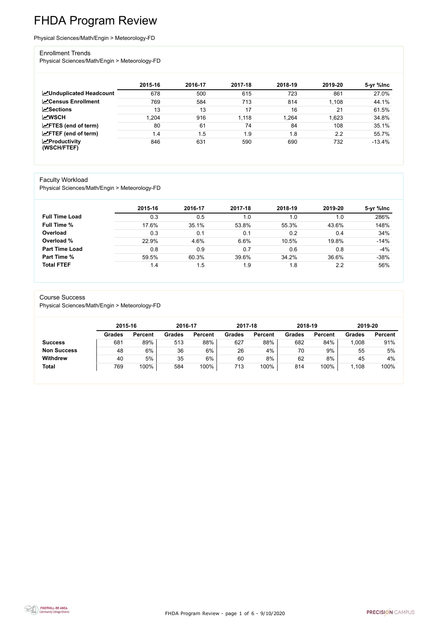FHDA Program Review - page 1 of 6 - 9/10/2020



# FHDA Program Review

Physical Sciences/Math/Engin > Meteorology-FD

#### Enrollment Trends

Physical Sciences/Math/Engin > Meteorology-FD

|                                    | 2015-16 | 2016-17 | 2017-18 | 2018-19 | 2019-20 | 5-yr %lnc |
|------------------------------------|---------|---------|---------|---------|---------|-----------|
| <b>ZUnduplicated Headcount</b>     | 678     | 500     | 615     | 723     | 861     | 27.0%     |
| <b>∠</b> Census Enrollment         | 769     | 584     | 713     | 814     | 1,108   | 44.1%     |
| <b>ZSections</b>                   | 13      | 13      | 17      | 16      | 21      | 61.5%     |
| <b>MWSCH</b>                       | .204    | 916     | 1,118   | 1,264   | 1,623   | 34.8%     |
| $\angle$ FTES (end of term)        | 80      | 61      | 74      | 84      | 108     | 35.1%     |
| $\angle$ FTEF (end of term)        | 1.4     | 1.5     | 1.9     | 1.8     | 2.2     | 55.7%     |
| $\chi$ Productivity<br>(WSCH/FTEF) | 846     | 631     | 590     | 690     | 732     | $-13.4%$  |

#### Faculty Workload

Physical Sciences/Math/Engin > Meteorology-FD

|                       | 2015-16 | 2016-17 | 2017-18 | 2018-19 | 2019-20 | 5-yr %lnc |
|-----------------------|---------|---------|---------|---------|---------|-----------|
| <b>Full Time Load</b> | 0.3     | 0.5     | 1.0     | 1.0     | 1.0     | 286%      |
| <b>Full Time %</b>    | 17.6%   | 35.1%   | 53.8%   | 55.3%   | 43.6%   | 148%      |
| Overload              | 0.3     | 0.1     | 0.1     | 0.2     | 0.4     | 34%       |
| Overload %            | 22.9%   | 4.6%    | 6.6%    | 10.5%   | 19.8%   | $-14%$    |
| <b>Part Time Load</b> | 0.8     | 0.9     | 0.7     | 0.6     | 0.8     | $-4%$     |
| <b>Part Time %</b>    | 59.5%   | 60.3%   | 39.6%   | 34.2%   | 36.6%   | $-38%$    |
| <b>Total FTEF</b>     | 1.4     | 1.5     | 1.9     | 1.8     | 2.2     | 56%       |

#### Course Success

Physical Sciences/Math/Engin > Meteorology-FD

|                    |               | 2015-16        |               | 2016-17        | 2017-18       |                | 2018-19       |                | 2019-20       |                |
|--------------------|---------------|----------------|---------------|----------------|---------------|----------------|---------------|----------------|---------------|----------------|
|                    | <b>Grades</b> | <b>Percent</b> | <b>Grades</b> | <b>Percent</b> | <b>Grades</b> | <b>Percent</b> | <b>Grades</b> | <b>Percent</b> | <b>Grades</b> | <b>Percent</b> |
| <b>Success</b>     | 681           | 89%            | 513           | 88%            | 627           | 88%            | 682           | 84%            | 1,008         | 91%            |
| <b>Non Success</b> | 48            | 6%             | 36            | 6%             | 26            | 4%             | 70            | 9%             | 55            | 5%             |
| <b>Withdrew</b>    | 40            | 5%             | 35            | $6\%$          | 60            | 8%             | 62            | 8%             | 45            | 4%             |
| <b>Total</b>       | 769           | 100%           | 584           | 100%           | 713           | 100%           | 814           | 100%           | 1,108         | 100%           |

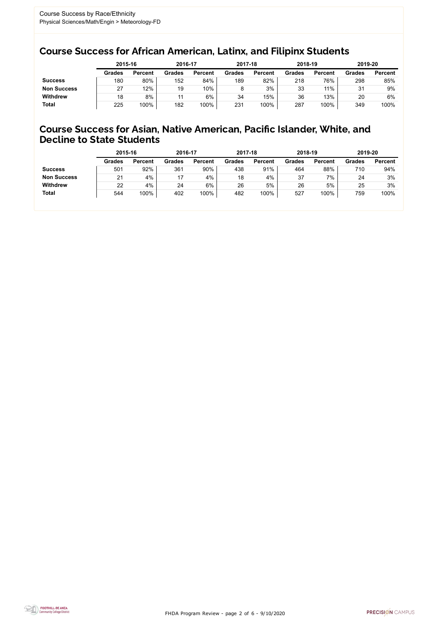FHDA Program Review - page 2 of 6 - 9/10/2020



## Course Success for African American, Latinx, and Filipinx Students

## Course Success for Asian, Native American, Pacific Islander, White, and Decline to State Students

|                    | 2015-16       |                | 2016-17       |                | 2017-18       |                | 2018-19       |                | 2019-20       |                |
|--------------------|---------------|----------------|---------------|----------------|---------------|----------------|---------------|----------------|---------------|----------------|
|                    | <b>Grades</b> | <b>Percent</b> | <b>Grades</b> | <b>Percent</b> | <b>Grades</b> | <b>Percent</b> | <b>Grades</b> | <b>Percent</b> | <b>Grades</b> | <b>Percent</b> |
| <b>Success</b>     | 180           | 80%            | 152           | 84%            | 189           | 82%            | 218           | 76%            | 298           | 85%            |
| <b>Non Success</b> | 27            | 12%            | 19            | 10%            |               | 3%             | 33            | 11%            | 31            | 9%             |
| <b>Withdrew</b>    | 18            | 8%             |               | $6\%$          | 34            | 15%            | 36            | 13%            | 20            | 6%             |
| <b>Total</b>       | 225           | 100%           | 182           | 100%           | 231           | 100%           | 287           | 100%           | 349           | 100%           |

|                    | 2015-16       |                | 2016-17       |                | 2017-18       |                | 2018-19       |                | 2019-20       |                |
|--------------------|---------------|----------------|---------------|----------------|---------------|----------------|---------------|----------------|---------------|----------------|
|                    | <b>Grades</b> | <b>Percent</b> | <b>Grades</b> | <b>Percent</b> | <b>Grades</b> | <b>Percent</b> | <b>Grades</b> | <b>Percent</b> | <b>Grades</b> | <b>Percent</b> |
| <b>Success</b>     | 501           | 92%            | 361           | 90%            | 438           | 91%            | 464           | 88%            | 710           | 94%            |
| <b>Non Success</b> | 21            | 4%             | 17            | 4%             | 18            | 4%             | 37            | 7%             | 24            | 3%             |
| <b>Withdrew</b>    | 22            | 4%             | 24            | 6%             | 26            | 5%             | 26            | 5%             | 25            | 3%             |
| <b>Total</b>       | 544           | 100%           | 402           | 100%           | 482           | 100%           | 527           | 100%           | 759           | 100%           |
|                    |               |                |               |                |               |                |               |                |               |                |

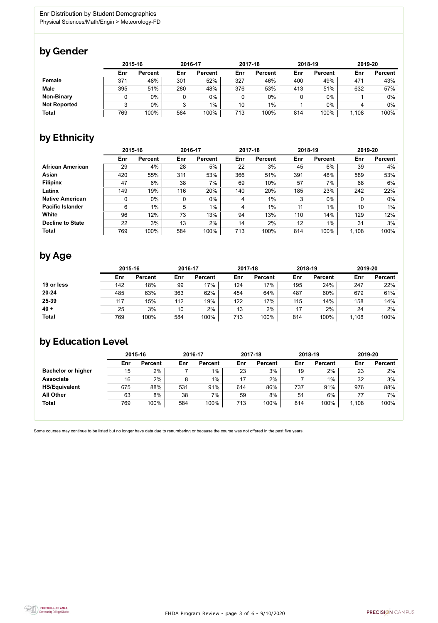FHDA Program Review - page 3 of 6 - 9/10/2020



Some courses may continue to be listed but no longer have data due to renumbering or because the course was not offered in the past five years.



## by Gender

|                     | 2015-16 |                |     | 2016-17        |     | 2017-18        | 2018-19 |                | 2019-20 |                |
|---------------------|---------|----------------|-----|----------------|-----|----------------|---------|----------------|---------|----------------|
|                     | Enr     | <b>Percent</b> | Enr | <b>Percent</b> | Enr | <b>Percent</b> | Enr     | <b>Percent</b> | Enr     | <b>Percent</b> |
| Female              | 371     | 48%            | 301 | 52%            | 327 | 46%            | 400     | 49%            | 471     | 43%            |
| <b>Male</b>         | 395     | 51%            | 280 | 48%            | 376 | 53%            | 413     | 51%            | 632     | 57%            |
| <b>Non-Binary</b>   |         | $0\%$          |     | 0%             | 0   | 0%             |         | $0\%$          |         | 0%             |
| <b>Not Reported</b> |         | $0\%$          |     | $1\%$          | 10  | $1\%$          |         | $0\%$          |         | 0%             |
| <b>Total</b>        | 769     | 100%           | 584 | 100%           | 713 | 100%           | 814     | 100%           | 1,108   | 100%           |

## by Ethnicity

|                         | 2015-16 |                |              | 2016-17        |     | 2017-18        | 2018-19 |                | 2019-20 |                |
|-------------------------|---------|----------------|--------------|----------------|-----|----------------|---------|----------------|---------|----------------|
|                         | Enr     | <b>Percent</b> | Enr          | <b>Percent</b> | Enr | <b>Percent</b> | Enr     | <b>Percent</b> | Enr     | <b>Percent</b> |
| <b>African American</b> | 29      | 4%             | 28           | 5%             | 22  | 3%             | 45      | 6%             | 39      | 4%             |
| Asian                   | 420     | 55%            | 311          | 53%            | 366 | 51%            | 391     | 48%            | 589     | 53%            |
| <b>Filipinx</b>         | 47      | 6%             | 38           | 7%             | 69  | 10%            | 57      | 7%             | 68      | 6%             |
| Latinx                  | 149     | 19%            | 116          | 20%            | 140 | 20%            | 185     | 23%            | 242     | 22%            |
| <b>Native American</b>  | 0       | 0%             | $\mathbf{0}$ | $0\%$          | 4   | $1\%$          | 3       | $0\%$          | 0       | $0\%$          |
| <b>Pacific Islander</b> | 6       | 1%             | 5            | $1\%$          | 4   | $1\%$          | 11      | 1%             | 10      | $1\%$          |
| White                   | 96      | 12%            | 73           | 13%            | 94  | 13%            | 110     | 14%            | 129     | 12%            |
| <b>Decline to State</b> | 22      | 3%             | 13           | 2%             | 14  | 2%             | 12      | 1%             | 31      | 3%             |
| <b>Total</b>            | 769     | 100%           | 584          | 100%           | 713 | 100%           | 814     | 100%           | 1,108   | 100%           |

## by Age

|              | 2015-16 |                | 2016-17 |                | 2017-18 |                | 2018-19 |                | 2019-20 |                |
|--------------|---------|----------------|---------|----------------|---------|----------------|---------|----------------|---------|----------------|
|              | Enr     | <b>Percent</b> | Enr     | <b>Percent</b> | Enr     | <b>Percent</b> | Enr     | <b>Percent</b> | Enr     | <b>Percent</b> |
| 19 or less   | 142     | 18%            | 99      | 17%            | 124     | 17%            | 195     | 24%            | 247     | 22%            |
| $20 - 24$    | 485     | 63%            | 363     | 62%            | 454     | 64%            | 487     | 60%            | 679     | 61%            |
| 25-39        | 117     | 15%            | 112     | 19%            | 122     | 17%            | 115     | 14%            | 158     | 14%            |
| $40 +$       | 25      | 3%             | 10      | 2%             | 13      | 2%             | 17      | 2%             | 24      | 2%             |
| <b>Total</b> | 769     | 100%           | 584     | 100%           | 713     | 100%           | 814     | 100%           | 1,108   | 100%           |

## by Education Level

|                           | 2015-16 |                |     | 2016-17        |     | 2017-18        | 2018-19 |                | 2019-20 |                |
|---------------------------|---------|----------------|-----|----------------|-----|----------------|---------|----------------|---------|----------------|
|                           | Enr     | <b>Percent</b> | Enr | <b>Percent</b> | Enr | <b>Percent</b> | Enr     | <b>Percent</b> | Enr     | <b>Percent</b> |
| <b>Bachelor or higher</b> | 15      | 2%             |     | $1\%$          | 23  | 3%             | 19      | 2%             | 23      | 2%             |
| <b>Associate</b>          | 16      | 2%             | 8   | $1\%$          | 17  | 2%             |         | $1\%$          | 32      | 3%             |
| <b>HS/Equivalent</b>      | 675     | 88%            | 531 | 91%            | 614 | 86%            | 737     | 91%            | 976     | 88%            |
| <b>All Other</b>          | 63      | 8%             | 38  | 7%             | 59  | 8%             | 51      | 6%             |         | 7%             |
| <b>Total</b>              | 769     | 100%           | 584 | 100%           | 713 | 100%           | 814     | 100%           | 1,108   | 100%           |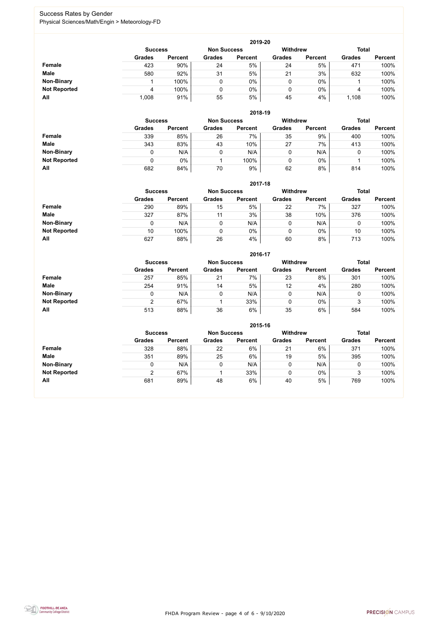FHDA Program Review - page 4 of 6 - 9/10/2020



## Success Rates by Gender Physical Sciences/Math/Engin > Meteorology-FD

|                     |                | 2019-20        |                    |                |                 |                |               |                |  |  |  |  |  |
|---------------------|----------------|----------------|--------------------|----------------|-----------------|----------------|---------------|----------------|--|--|--|--|--|
|                     | <b>Success</b> |                | <b>Non Success</b> |                | <b>Withdrew</b> |                | <b>Total</b>  |                |  |  |  |  |  |
|                     | <b>Grades</b>  | <b>Percent</b> | <b>Grades</b>      | <b>Percent</b> | <b>Grades</b>   | <b>Percent</b> | <b>Grades</b> | <b>Percent</b> |  |  |  |  |  |
| Female              | 423            | 90%            | 24                 | 5%             | 24              | 5%             | 471           | 100%           |  |  |  |  |  |
| <b>Male</b>         | 580            | 92%            | 31                 | 5%             | 21              | 3%             | 632           | 100%           |  |  |  |  |  |
| <b>Non-Binary</b>   |                | 100%           |                    | $0\%$          | 0               | $0\%$          |               | 100%           |  |  |  |  |  |
| <b>Not Reported</b> | 4              | 100%           |                    | $0\%$          | 0               | $0\%$          | 4             | 100%           |  |  |  |  |  |
| All                 | 1,008          | 91%            | 55                 | 5%             | 45              | 4%             | 1,108         | 100%           |  |  |  |  |  |

|                     | 2018-19       |                                      |               |                |               |                 |               |                |  |  |  |  |  |
|---------------------|---------------|--------------------------------------|---------------|----------------|---------------|-----------------|---------------|----------------|--|--|--|--|--|
|                     |               | <b>Non Success</b><br><b>Success</b> |               |                |               | <b>Withdrew</b> | <b>Total</b>  |                |  |  |  |  |  |
|                     | <b>Grades</b> | <b>Percent</b>                       | <b>Grades</b> | <b>Percent</b> | <b>Grades</b> | <b>Percent</b>  | <b>Grades</b> | <b>Percent</b> |  |  |  |  |  |
| <b>Female</b>       | 339           | 85%                                  | 26            | 7%             | 35            | 9%              | 400           | 100%           |  |  |  |  |  |
| <b>Male</b>         | 343           | 83%                                  | 43            | 10%            | 27            | 7%              | 413           | 100%           |  |  |  |  |  |
| <b>Non-Binary</b>   | 0             | N/A                                  |               | N/A            | v             | N/A             | U             | 100%           |  |  |  |  |  |
| <b>Not Reported</b> | 0             | 0%                                   |               | 100%           | υ             | $0\%$           |               | 100%           |  |  |  |  |  |
| All                 | 682           | 84%                                  | 70            | 9%             | 62            | 8%              | 814           | 100%           |  |  |  |  |  |

|                     | 2017-18                                                 |                |               |                |               |                |               |                |  |  |  |  |
|---------------------|---------------------------------------------------------|----------------|---------------|----------------|---------------|----------------|---------------|----------------|--|--|--|--|
|                     | <b>Withdrew</b><br><b>Non Success</b><br><b>Success</b> |                |               |                |               |                |               | <b>Total</b>   |  |  |  |  |
|                     | <b>Grades</b>                                           | <b>Percent</b> | <b>Grades</b> | <b>Percent</b> | <b>Grades</b> | <b>Percent</b> | <b>Grades</b> | <b>Percent</b> |  |  |  |  |
| <b>Female</b>       | 290                                                     | 89%            | 15            | 5%             | 22            | 7%             | 327           | 100%           |  |  |  |  |
| <b>Male</b>         | 327                                                     | 87%            | 11            | 3%             | 38            | 10%            | 376           | 100%           |  |  |  |  |
| <b>Non-Binary</b>   | 0                                                       | N/A            |               | N/A            | 0             | N/A            | υ             | 100%           |  |  |  |  |
| <b>Not Reported</b> | 10                                                      | 100%           |               | 0%             | 0             | $0\%$          | 10            | 100%           |  |  |  |  |
| All                 | 627                                                     | 88%            | 26            | 4%             | 60            | 8%             | 713           | 100%           |  |  |  |  |

|                     |               | 2016-17                              |               |                |                 |                |               |                |  |  |
|---------------------|---------------|--------------------------------------|---------------|----------------|-----------------|----------------|---------------|----------------|--|--|
|                     |               | <b>Non Success</b><br><b>Success</b> |               |                | <b>Withdrew</b> |                | <b>Total</b>  |                |  |  |
|                     | <b>Grades</b> | <b>Percent</b>                       | <b>Grades</b> | <b>Percent</b> | <b>Grades</b>   | <b>Percent</b> | <b>Grades</b> | <b>Percent</b> |  |  |
| <b>Female</b>       | 257           | 85%                                  | 21            | 7%             | 23              | 8%             | 301           | 100%           |  |  |
| <b>Male</b>         | 254           | 91%                                  | 14            | 5%             | 12              | 4%             | 280           | 100%           |  |  |
| <b>Non-Binary</b>   | 0             | N/A                                  |               | N/A            | 0               | N/A            | 0             | 100%           |  |  |
| <b>Not Reported</b> | ⌒             | 67%                                  |               | 33%            | 0               | $0\%$          | 3             | 100%           |  |  |
| All                 | 513           | 88%                                  | 36            | 6%             | 35              | 6%             | 584           | 100%           |  |  |

|                     |               | 2015-16                              |               |                |                 |                |               |                |  |  |
|---------------------|---------------|--------------------------------------|---------------|----------------|-----------------|----------------|---------------|----------------|--|--|
|                     |               | <b>Non Success</b><br><b>Success</b> |               |                | <b>Withdrew</b> |                | <b>Total</b>  |                |  |  |
|                     | <b>Grades</b> | <b>Percent</b>                       | <b>Grades</b> | <b>Percent</b> | <b>Grades</b>   | <b>Percent</b> | <b>Grades</b> | <b>Percent</b> |  |  |
| Female              | 328           | 88%                                  | 22            | 6%             | 21              | 6%             | 371           | 100%           |  |  |
| <b>Male</b>         | 351           | 89%                                  | 25            | 6%             | 19              | 5%             | 395           | 100%           |  |  |
| <b>Non-Binary</b>   |               | N/A                                  | 0             | N/A            |                 | N/A            |               | 100%           |  |  |
| <b>Not Reported</b> | າ             | 67%                                  |               | 33%            |                 | $0\%$          | 3             | 100%           |  |  |
| All                 | 681           | 89%                                  | 48            | 6%             | 40              | 5%             | 769           | 100%           |  |  |

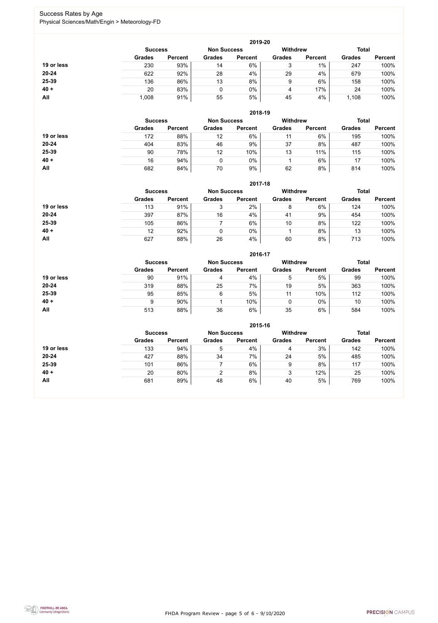FHDA Program Review - page 5 of 6 - 9/10/2020



## Success Rates by Age Physical Sciences/Math/Engin > Meteorology-FD

|            |                |                    |               | 2019-20         |               |                |               |                |
|------------|----------------|--------------------|---------------|-----------------|---------------|----------------|---------------|----------------|
|            | <b>Success</b> | <b>Non Success</b> |               | <b>Withdrew</b> |               | <b>Total</b>   |               |                |
|            | <b>Grades</b>  | <b>Percent</b>     | <b>Grades</b> | <b>Percent</b>  | <b>Grades</b> | <b>Percent</b> | <b>Grades</b> | <b>Percent</b> |
| 19 or less | 230            | 93%                | 14            | 6%              | ο<br>J        | 1%             | 247           | 100%           |
| $20 - 24$  | 622            | 92%                | 28            | 4%              | 29            | 4%             | 679           | 100%           |
| 25-39      | 136            | 86%                | 13            | 8%              | 9             | 6%             | 158           | 100%           |
| $40 +$     | 20             | 83%                |               | 0%              | 4             | 17%            | 24            | 100%           |
| All        | 1,008          | 91%                | 55            | 5%              | 45            | 4%             | 1,108         | 100%           |

|            |                |                |                    | 2018-19        |               |                 |               |                |
|------------|----------------|----------------|--------------------|----------------|---------------|-----------------|---------------|----------------|
|            | <b>Success</b> |                | <b>Non Success</b> |                |               | <b>Withdrew</b> |               | <b>Total</b>   |
|            | <b>Grades</b>  | <b>Percent</b> | <b>Grades</b>      | <b>Percent</b> | <b>Grades</b> | <b>Percent</b>  | <b>Grades</b> | <b>Percent</b> |
| 19 or less | 172            | 88%            | 12                 | 6%             | 11            | 6%              | 195           | 100%           |
| $20 - 24$  | 404            | 83%            | 46                 | 9%             | 37            | 8%              | 487           | 100%           |
| 25-39      | 90             | 78%            | 12                 | 10%            | 13            | 11%             | 115           | 100%           |
| $40 +$     | 16             | 94%            |                    | 0%             |               | 6%              | 17            | 100%           |
| All        | 682            | 84%            | 70                 | 9%             | 62            | 8%              | 814           | 100%           |

**2017-18**

|            |                |                    |               | 2017-18         |               |                |               |                |
|------------|----------------|--------------------|---------------|-----------------|---------------|----------------|---------------|----------------|
|            | <b>Success</b> | <b>Non Success</b> |               | <b>Withdrew</b> |               | <b>Total</b>   |               |                |
|            | <b>Grades</b>  | <b>Percent</b>     | <b>Grades</b> | <b>Percent</b>  | <b>Grades</b> | <b>Percent</b> | <b>Grades</b> | <b>Percent</b> |
| 19 or less | 113            | 91%                | 3             | 2%              | 8             | 6%             | 124           | 100%           |
| $20 - 24$  | 397            | 87%                | 16            | 4%              | 41            | 9%             | 454           | 100%           |
| 25-39      | 105            | 86%                |               | 6%              | 10            | 8%             | 122           | 100%           |
| $40 +$     | 12             | 92%                |               | 0%              |               | 8%             | 13            | 100%           |
| All        | 627            | 88%                | 26            | 4%              | 60            | 8%             | 713           | 100%           |

#### **2016-17**



|            |                |                |                    | <b>ZUID-17</b> |                 |                |               |                |
|------------|----------------|----------------|--------------------|----------------|-----------------|----------------|---------------|----------------|
|            | <b>Success</b> |                | <b>Non Success</b> |                | <b>Withdrew</b> |                | <b>Total</b>  |                |
|            | <b>Grades</b>  | <b>Percent</b> | <b>Grades</b>      | <b>Percent</b> | <b>Grades</b>   | <b>Percent</b> | <b>Grades</b> | <b>Percent</b> |
| 19 or less | 90             | 91%            | 4                  | 4%             | 5               | 5%             | 99            | 100%           |
| $20 - 24$  | 319            | 88%            | 25                 | 7%             | 19              | 5%             | 363           | 100%           |
| 25-39      | 95             | 85%            | 6                  | 5%             | 11              | 10%            | 112           | 100%           |
| $40 +$     | 9              | 90%            |                    | 10%            |                 | $0\%$          | 10            | 100%           |
| All        | 513            | 88%            | 36                 | 6%             | 35              | 6%             | 584           | 100%           |

|            |                                      |                |               | 2015-16         |               |                |               |                |
|------------|--------------------------------------|----------------|---------------|-----------------|---------------|----------------|---------------|----------------|
|            | <b>Non Success</b><br><b>Success</b> |                |               | <b>Withdrew</b> |               | <b>Total</b>   |               |                |
|            | <b>Grades</b>                        | <b>Percent</b> | <b>Grades</b> | <b>Percent</b>  | <b>Grades</b> | <b>Percent</b> | <b>Grades</b> | <b>Percent</b> |
| 19 or less | 133                                  | 94%            | 5             | 4%              | 4             | 3%             | 142           | 100%           |
| $20 - 24$  | 427                                  | 88%            | 34            | 7%              | 24            | 5%             | 485           | 100%           |
| 25-39      | 101                                  | 86%            |               | 6%              | 9             | 8%             | 117           | 100%           |
| $40 +$     | 20                                   | 80%            | 2             | 8%              | 3             | 12%            | 25            | 100%           |
| <b>All</b> | 681                                  | 89%            | 48            | 6%              | 40            | 5%             | 769           | 100%           |